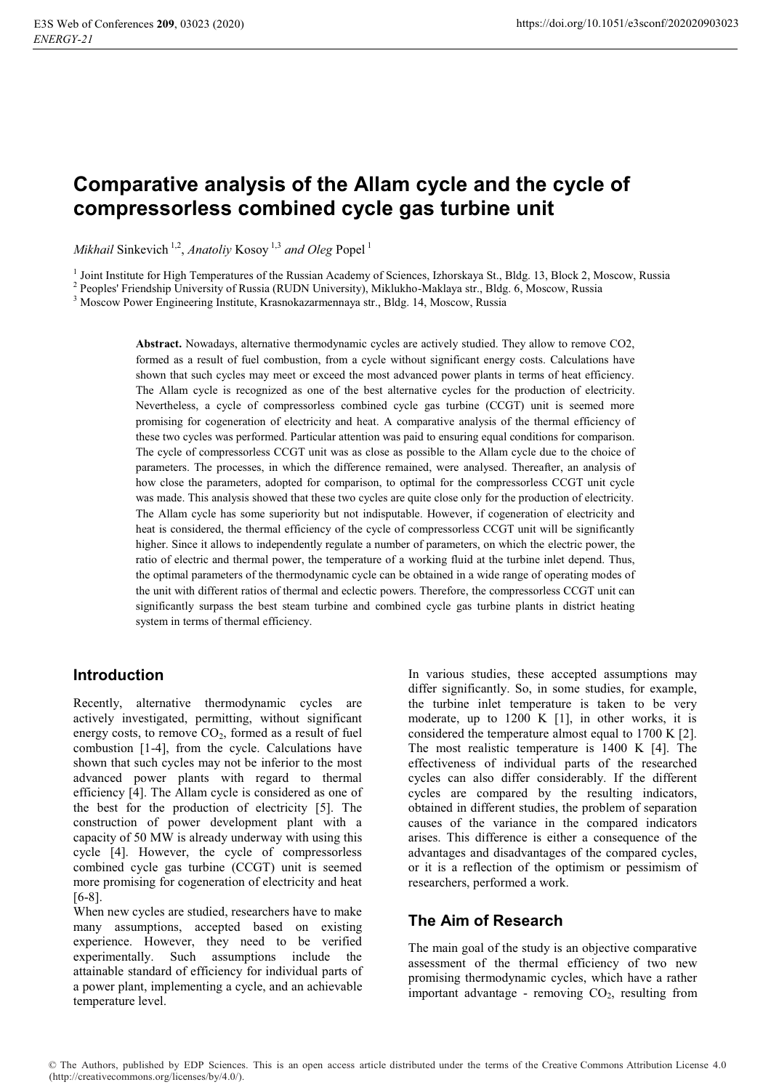# **Comparative analysis of the Allam cycle and the cycle of compressorless combined cycle gas turbine unit**

*Mikhail Sinkevich*<sup>1,2</sup>, *Anatoliy Kosoy*<sup>1,3</sup> and Oleg Popel<sup>1</sup>

<sup>1</sup> Joint Institute for High Temperatures of the Russian Academy of Sciences, Izhorskaya St., Bldg. 13, Block 2, Moscow, Russia 2 Beoples' Friendship University of Pussia (BUDN University), Miklukho Maklaya str., Bldg. 6,

<sup>2</sup> Peoples' Friendship University of Russia (RUDN University), Miklukho-Maklaya str., Bldg. 6, Moscow, Russia

<sup>3</sup> Moscow Power Engineering Institute, Krasnokazarmennaya str., Bldg. 14, Moscow, Russia

**Abstract.** Nowadays, alternative thermodynamic cycles are actively studied. They allow to remove CO2, formed as a result of fuel combustion, from a cycle without significant energy costs. Calculations have shown that such cycles may meet or exceed the most advanced power plants in terms of heat efficiency. The Allam cycle is recognized as one of the best alternative cycles for the production of electricity. Nevertheless, a cycle of compressorless combined cycle gas turbine (CCGT) unit is seemed more promising for cogeneration of electricity and heat. A comparative analysis of the thermal efficiency of these two cycles was performed. Particular attention was paid to ensuring equal conditions for comparison. The cycle of compressorless CCGT unit was as close as possible to the Allam cycle due to the choice of parameters. The processes, in which the difference remained, were analysed. Thereafter, an analysis of how close the parameters, adopted for comparison, to optimal for the compressorless CCGT unit cycle was made. This analysis showed that these two cycles are quite close only for the production of electricity. The Allam cycle has some superiority but not indisputable. However, if cogeneration of electricity and heat is considered, the thermal efficiency of the cycle of compressorless CCGT unit will be significantly higher. Since it allows to independently regulate a number of parameters, on which the electric power, the ratio of electric and thermal power, the temperature of a working fluid at the turbine inlet depend. Thus, the optimal parameters of the thermodynamic cycle can be obtained in a wide range of operating modes of the unit with different ratios of thermal and eclectic powers. Therefore, the compressorless CCGT unit can significantly surpass the best steam turbine and combined cycle gas turbine plants in district heating system in terms of thermal efficiency.

#### **Introduction**

Recently, alternative thermodynamic cycles are actively investigated, permitting, without significant energy costs, to remove  $CO<sub>2</sub>$ , formed as a result of fuel combustion [1-4], from the cycle. Calculations have shown that such cycles may not be inferior to the most advanced power plants with regard to thermal efficiency [4]. The Allam cycle is considered as one of the best for the production of electricity [5]. The construction of power development plant with a capacity of 50 MW is already underway with using this cycle [4]. However, the cycle of compressorless combined cycle gas turbine (CCGT) unit is seemed more promising for cogeneration of electricity and heat [6-8].

When new cycles are studied, researchers have to make many assumptions, accepted based on existing experience. However, they need to be verified experimentally. Such assumptions include the attainable standard of efficiency for individual parts of a power plant, implementing a cycle, and an achievable temperature level.

In various studies, these accepted assumptions may differ significantly. So, in some studies, for example, the turbine inlet temperature is taken to be very moderate, up to 1200 K [1], in other works, it is considered the temperature almost equal to 1700 K [2]. The most realistic temperature is 1400 K [4]. The effectiveness of individual parts of the researched cycles can also differ considerably. If the different cycles are compared by the resulting indicators, obtained in different studies, the problem of separation causes of the variance in the compared indicators arises. This difference is either a consequence of the advantages and disadvantages of the compared cycles, or it is a reflection of the optimism or pessimism of researchers, performed a work.

# **The Aim of Research**

The main goal of the study is an objective comparative assessment of the thermal efficiency of two new promising thermodynamic cycles, which have a rather important advantage - removing  $CO<sub>2</sub>$ , resulting from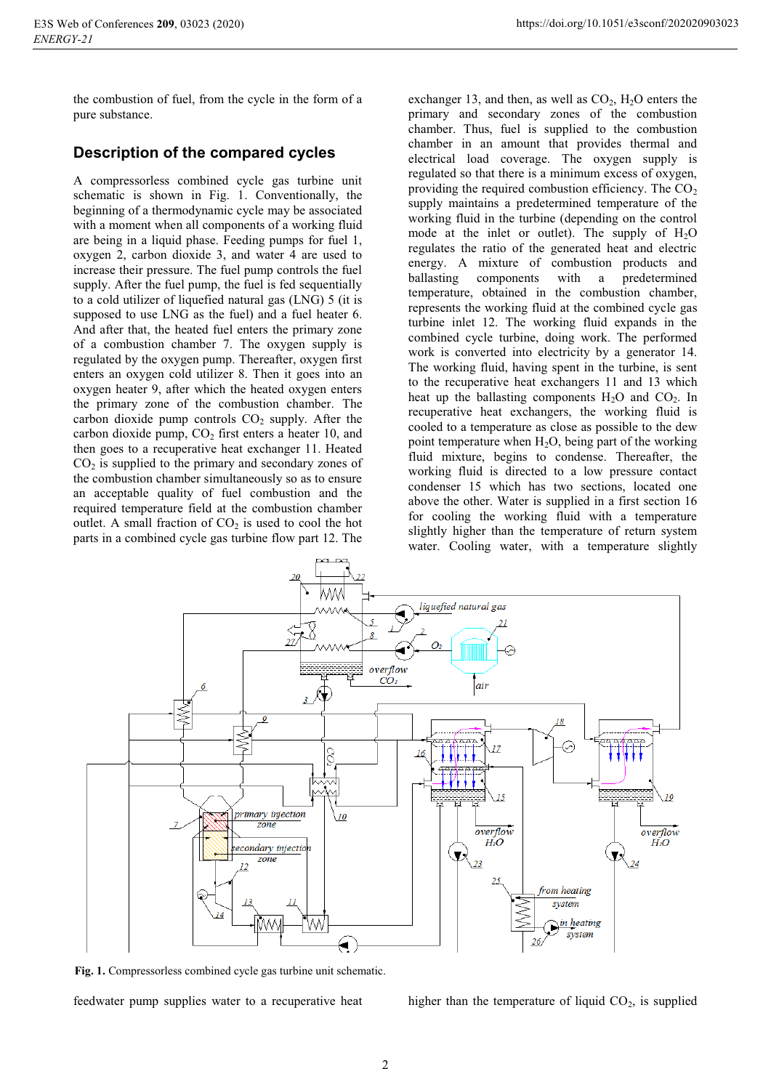the combustion of fuel, from the cycle in the form of a pure substance.

### **Description of the compared cycles**

A compressorless combined cycle gas turbine unit schematic is shown in Fig. 1. Conventionally, the beginning of a thermodynamic cycle may be associated with a moment when all components of a working fluid are being in a liquid phase. Feeding pumps for fuel 1, oxygen 2, carbon dioxide 3, and water 4 are used to increase their pressure. The fuel pump controls the fuel supply. After the fuel pump, the fuel is fed sequentially to a cold utilizer of liquefied natural gas (LNG) 5 (it is supposed to use LNG as the fuel) and a fuel heater 6. And after that, the heated fuel enters the primary zone of a combustion chamber 7. The oxygen supply is regulated by the oxygen pump. Thereafter, oxygen first enters an oxygen cold utilizer 8. Then it goes into an oxygen heater 9, after which the heated oxygen enters the primary zone of the combustion chamber. The carbon dioxide pump controls  $CO<sub>2</sub>$  supply. After the carbon dioxide pump,  $CO<sub>2</sub>$  first enters a heater 10, and then goes to a recuperative heat exchanger 11. Heated  $CO<sub>2</sub>$  is supplied to the primary and secondary zones of the combustion chamber simultaneously so as to ensure an acceptable quality of fuel combustion and the required temperature field at the combustion chamber outlet. A small fraction of  $CO<sub>2</sub>$  is used to cool the hot parts in a combined cycle gas turbine flow part 12. The

exchanger 13, and then, as well as  $CO<sub>2</sub>$ ,  $H<sub>2</sub>O$  enters the primary and secondary zones of the combustion chamber. Thus, fuel is supplied to the combustion chamber in an amount that provides thermal and electrical load coverage. The oxygen supply is regulated so that there is a minimum excess of oxygen, providing the required combustion efficiency. The  $CO<sub>2</sub>$ supply maintains a predetermined temperature of the working fluid in the turbine (depending on the control mode at the inlet or outlet). The supply of  $H_2O$ regulates the ratio of the generated heat and electric energy. A mixture of combustion products and ballasting components with a predetermined temperature, obtained in the combustion chamber, represents the working fluid at the combined cycle gas turbine inlet 12. The working fluid expands in the combined cycle turbine, doing work. The performed work is converted into electricity by a generator 14. The working fluid, having spent in the turbine, is sent to the recuperative heat exchangers 11 and 13 which heat up the ballasting components  $H_2O$  and  $CO_2$ . In recuperative heat exchangers, the working fluid is cooled to a temperature as close as possible to the dew point temperature when  $H_2O$ , being part of the working fluid mixture, begins to condense. Thereafter, the working fluid is directed to a low pressure contact condenser 15 which has two sections, located one above the other. Water is supplied in a first section 16 for cooling the working fluid with a temperature slightly higher than the temperature of return system water. Сooling water, with a temperature slightly



**Fig. 1.** Compressorless combined cycle gas turbine unit schematic.

feedwater pump supplies water to a recuperative heat

higher than the temperature of liquid  $CO<sub>2</sub>$ , is supplied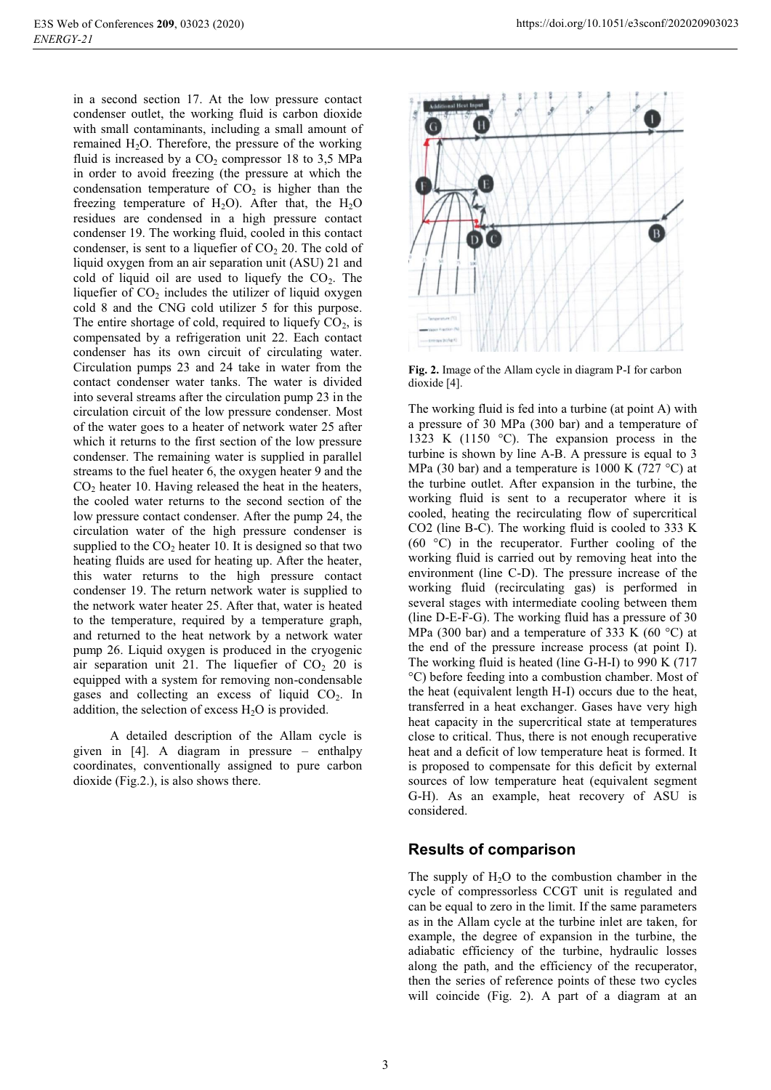in a second section 17. At the low pressure contact condenser outlet, the working fluid is carbon dioxide with small contaminants, including a small amount of remained  $H_2O$ . Therefore, the pressure of the working fluid is increased by a  $CO<sub>2</sub>$  compressor 18 to 3,5 MPa in order to avoid freezing (the pressure at which the condensation temperature of  $CO<sub>2</sub>$  is higher than the freezing temperature of  $H_2O$ ). After that, the  $H_2O$ residues are condensed in a high pressure contact condenser 19. The working fluid, cooled in this contact condenser, is sent to a liquefier of  $CO<sub>2</sub>$  20. The cold of liquid oxygen from an air separation unit (ASU) 21 and cold of liquid oil are used to liquefy the  $CO<sub>2</sub>$ . The liquefier of  $CO<sub>2</sub>$  includes the utilizer of liquid oxygen cold 8 and the СNG cold utilizer 5 for this purpose. The entire shortage of cold, required to liquefy  $CO<sub>2</sub>$ , is compensated by a refrigeration unit 22. Each contact condenser has its own circuit of circulating water. Circulation pumps 23 and 24 take in water from the contact condenser water tanks. The water is divided into several streams after the circulation pump 23 in the circulation circuit of the low pressure condenser. Most of the water goes to a heater of network water 25 after which it returns to the first section of the low pressure condenser. The remaining water is supplied in parallel streams to the fuel heater 6, the oxygen heater 9 and the  $CO<sub>2</sub>$  heater 10. Having released the heat in the heaters, the cooled water returns to the second section of the low pressure contact condenser. After the pump 24, the circulation water of the high pressure condenser is supplied to the  $CO<sub>2</sub>$  heater 10. It is designed so that two heating fluids are used for heating up. After the heater, this water returns to the high pressure contact condenser 19. The return network water is supplied to the network water heater 25. After that, water is heated to the temperature, required by a temperature graph, and returned to the heat network by a network water pump 26. Liquid oxygen is produced in the cryogenic air separation unit 21. The liquefier of  $CO<sub>2</sub>$  20 is equipped with a system for removing non-condensable gases and collecting an excess of liquid  $CO<sub>2</sub>$ . In addition, the selection of excess  $H_2O$  is provided.

A detailed description of the Allam cycle is given in [4]. A diagram in pressure – enthalpy coordinates, conventionally assigned to pure carbon dioxide (Fig.2.), is also shows there.



**Fig. 2.** Image of the Allam cycle in diagram P-I for carbon dioxide [4].

The working fluid is fed into a turbine (at point A) with a pressure of 30 MPa (300 bar) and a temperature of 1323 K (1150 °C). The expansion process in the turbine is shown by line A-B. A pressure is equal to 3 MPa (30 bar) and a temperature is 1000 K (727 °C) at the turbine outlet. After expansion in the turbine, the working fluid is sent to a recuperator where it is cooled, heating the recirculating flow of supercritical CO2 (line B-C). The working fluid is cooled to 333 K  $(60 \degree C)$  in the recuperator. Further cooling of the working fluid is carried out by removing heat into the environment (line C-D). The pressure increase of the working fluid (recirculating gas) is performed in several stages with intermediate cooling between them (line D-E-F-G). The working fluid has a pressure of 30 MPa (300 bar) and a temperature of 333 K (60  $^{\circ}$ C) at the end of the pressure increase process (at point I). The working fluid is heated (line G-H-I) to 990 K (717 °C) before feeding into a combustion chamber. Most of the heat (equivalent length H-I) occurs due to the heat, transferred in a heat exchanger. Gases have very high heat capacity in the supercritical state at temperatures close to critical. Thus, there is not enough recuperative heat and a deficit of low temperature heat is formed. It is proposed to compensate for this deficit by external sources of low temperature heat (equivalent segment G-H). As an example, heat recovery of ASU is considered.

## **Results of comparison**

The supply of  $H_2O$  to the combustion chamber in the cycle of compressorless CCGT unit is regulated and can be equal to zero in the limit. If the same parameters as in the Allam cycle at the turbine inlet are taken, for example, the degree of expansion in the turbine, the adiabatic efficiency of the turbine, hydraulic losses along the path, and the efficiency of the recuperator, then the series of reference points of these two cycles will coincide (Fig. 2). A part of a diagram at an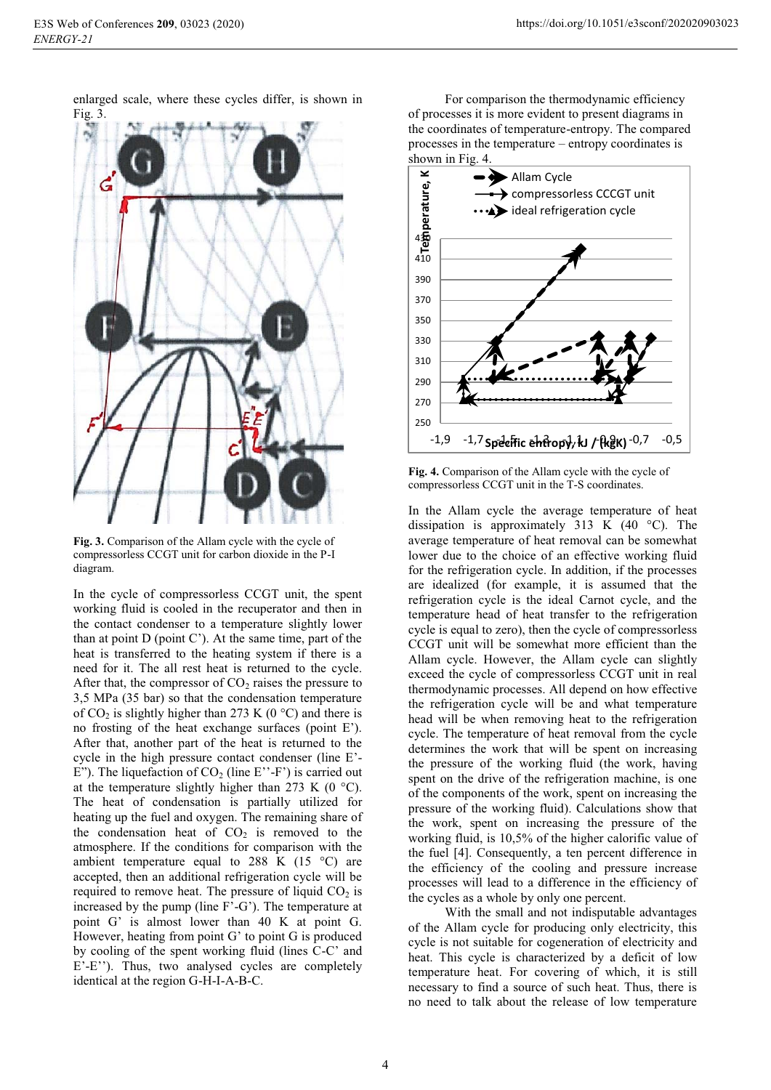enlarged scale, where these cycles differ, is shown in



**Fig. 3.** Comparison of the Allam cycle with the cycle of compressorless CCGT unit for carbon dioxide in the P-I diagram.

In the cycle of compressorless CCGT unit, the spent working fluid is cooled in the recuperator and then in the contact condenser to a temperature slightly lower than at point  $D$  (point  $C'$ ). At the same time, part of the heat is transferred to the heating system if there is a need for it. The all rest heat is returned to the cycle. After that, the compressor of  $CO<sub>2</sub>$  raises the pressure to 3,5 MPa (35 bar) so that the condensation temperature of  $CO_2$  is slightly higher than 273 K (0 °C) and there is no frosting of the heat exchange surfaces (point E'). After that, another part of the heat is returned to the cycle in the high pressure contact condenser (line E'- E"). The liquefaction of  $CO<sub>2</sub>$  (line E"-F") is carried out at the temperature slightly higher than 273 K (0  $^{\circ}$ C). The heat of condensation is partially utilized for heating up the fuel and oxygen. The remaining share of the condensation heat of  $CO<sub>2</sub>$  is removed to the atmosphere. If the conditions for comparison with the ambient temperature equal to 288 K (15 $\degree$ C) are accepted, then an additional refrigeration cycle will be required to remove heat. The pressure of liquid  $CO<sub>2</sub>$  is increased by the pump (line F'-G'). The temperature at point G' is almost lower than 40 K at point G. However, heating from point G' to point G is produced by cooling of the spent working fluid (lines C-C' and E'-E''). Thus, two analysed cycles are completely identical at the region G-H-I-A-B-C.

For comparison the thermodynamic efficiency of processes it is more evident to present diagrams in the coordinates of temperature-entropy. The compared processes in the temperature – entropy coordinates is shown in Fig. 4.



**Fig. 4.** Comparison of the Allam cycle with the cycle of compressorless CCGT unit in the T-S coordinates.

In the Allam cycle the average temperature of heat dissipation is approximately 313 K  $(40 \degree C)$ . The average temperature of heat removal can be somewhat lower due to the choice of an effective working fluid for the refrigeration cycle. In addition, if the processes are idealized (for example, it is assumed that the refrigeration cycle is the ideal Carnot cycle, and the temperature head of heat transfer to the refrigeration cycle is equal to zero), then the cycle of compressorless CCGT unit will be somewhat more efficient than the Allam cycle. However, the Allam cycle can slightly exceed the cycle of compressorless CCGT unit in real thermodynamic processes. All depend on how effective the refrigeration cycle will be and what temperature head will be when removing heat to the refrigeration cycle. The temperature of heat removal from the cycle determines the work that will be spent on increasing the pressure of the working fluid (the work, having spent on the drive of the refrigeration machine, is one of the components of the work, spent on increasing the pressure of the working fluid). Calculations show that the work, spent on increasing the pressure of the working fluid, is 10,5% of the higher calorific value of the fuel [4]. Consequently, a ten percent difference in the efficiency of the cooling and pressure increase processes will lead to a difference in the efficiency of the cycles as a whole by only one percent.

With the small and not indisputable advantages of the Allam cycle for producing only electricity, this cycle is not suitable for cogeneration of electricity and heat. This cycle is characterized by a deficit of low temperature heat. For covering of which, it is still necessary to find a source of such heat. Thus, there is no need to talk about the release of low temperature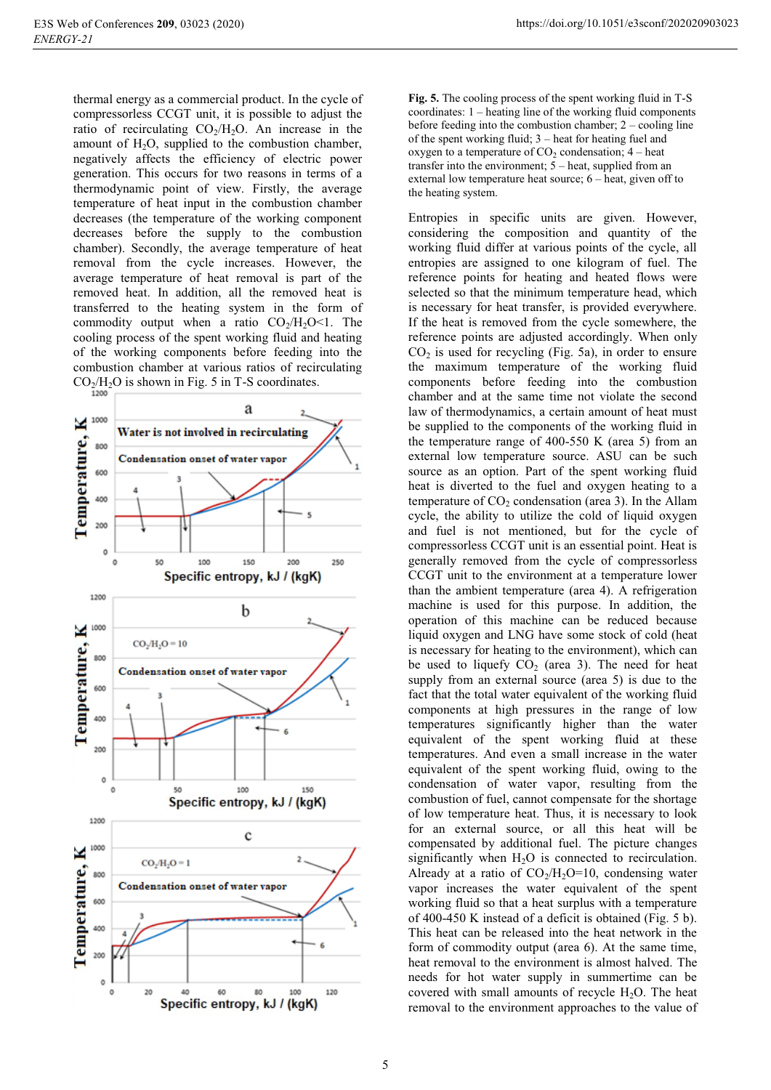thermal energy as a commercial product. In the cycle of compressorless CCGT unit, it is possible to adjust the ratio of recirculating  $CO<sub>2</sub>/H<sub>2</sub>O$ . An increase in the amount of  $H_2O$ , supplied to the combustion chamber, negatively affects the efficiency of electric power generation. This occurs for two reasons in terms of a thermodynamic point of view. Firstly, the average temperature of heat input in the combustion chamber decreases (the temperature of the working component decreases before the supply to the combustion chamber). Secondly, the average temperature of heat removal from the cycle increases. However, the average temperature of heat removal is part of the removed heat. In addition, all the removed heat is transferred to the heating system in the form of commodity output when a ratio  $CO<sub>2</sub>/H<sub>2</sub>O<1$ . The cooling process of the spent working fluid and heating of the working components before feeding into the combustion chamber at various ratios of recirculating  $CO<sub>2</sub>/H<sub>2</sub>O$  is shown in Fig. 5 in T-S coordinates.



**Fig. 5.** The cooling process of the spent working fluid in T-S coordinates: 1 – heating line of the working fluid components before feeding into the combustion chamber; 2 – cooling line of the spent working fluid; 3 – heat for heating fuel and oxygen to a temperature of  $CO<sub>2</sub>$  condensation;  $4$  – heat transfer into the environment;  $5$  – heat, supplied from an external low temperature heat source; 6 – heat, given off to the heating system.

Entropies in specific units are given. However, considering the composition and quantity of the working fluid differ at various points of the cycle, all entropies are assigned to one kilogram of fuel. The reference points for heating and heated flows were selected so that the minimum temperature head, which is necessary for heat transfer, is provided everywhere. If the heat is removed from the cycle somewhere, the reference points are adjusted accordingly. When only  $CO<sub>2</sub>$  is used for recycling (Fig. 5a), in order to ensure the maximum temperature of the working fluid components before feeding into the combustion chamber and at the same time not violate the second law of thermodynamics, a certain amount of heat must be supplied to the components of the working fluid in the temperature range of 400-550 K (area 5) from an external low temperature source. ASU can be such source as an option. Part of the spent working fluid heat is diverted to the fuel and oxygen heating to a temperature of  $CO<sub>2</sub>$  condensation (area 3). In the Allam cycle, the ability to utilize the cold of liquid oxygen and fuel is not mentioned, but for the cycle of compressorless CCGT unit is an essential point. Heat is generally removed from the cycle of compressorless CCGT unit to the environment at a temperature lower than the ambient temperature (area 4). A refrigeration machine is used for this purpose. In addition, the operation of this machine can be reduced because liquid oxygen and LNG have some stock of cold (heat is necessary for heating to the environment), which can be used to liquefy  $CO<sub>2</sub>$  (area 3). The need for heat supply from an external source (area 5) is due to the fact that the total water equivalent of the working fluid components at high pressures in the range of low temperatures significantly higher than the water equivalent of the spent working fluid at these temperatures. And even a small increase in the water equivalent of the spent working fluid, owing to the condensation of water vapor, resulting from the combustion of fuel, cannot compensate for the shortage of low temperature heat. Thus, it is necessary to look for an external source, or all this heat will be compensated by additional fuel. The picture changes significantly when  $H_2O$  is connected to recirculation. Already at a ratio of  $CO<sub>2</sub>/H<sub>2</sub>O=10$ , condensing water vapor increases the water equivalent of the spent working fluid so that a heat surplus with a temperature of 400-450 K instead of a deficit is obtained (Fig. 5 b). This heat can be released into the heat network in the form of commodity output (area 6). At the same time, heat removal to the environment is almost halved. The needs for hot water supply in summertime can be covered with small amounts of recycle  $H_2O$ . The heat removal to the environment approaches to the value of